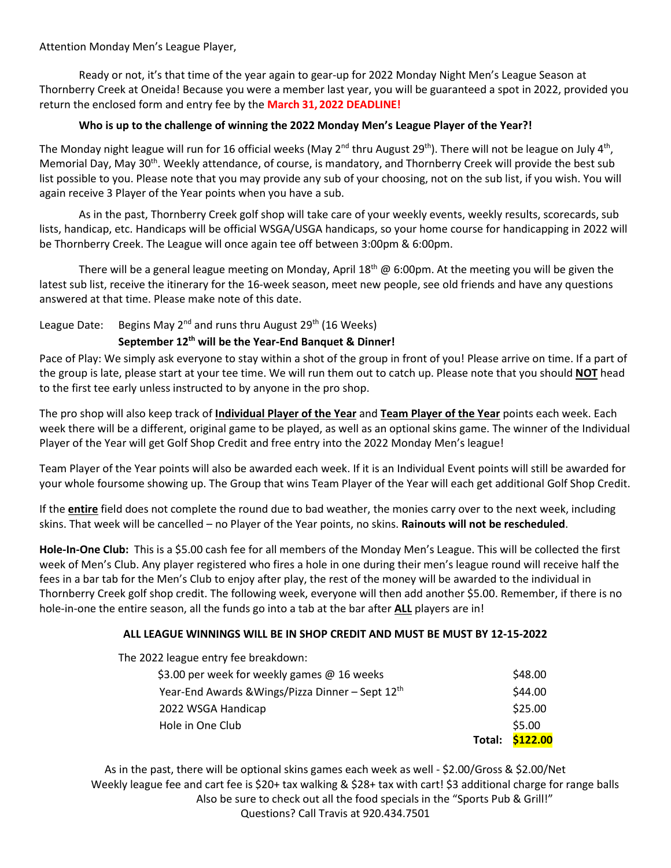#### Attention Monday Men's League Player,

Ready or not, it's that time of the year again to gear-up for 2022 Monday Night Men's League Season at Thornberry Creek at Oneida! Because you were a member last year, you will be guaranteed a spot in 2022, provided you return the enclosed form and entry fee by the **March 31, 2022 DEADLINE!**

### **Who is up to the challenge of winning the 2022 Monday Men's League Player of the Year?!**

The Monday night league will run for 16 official weeks (May 2<sup>nd</sup> thru August 29<sup>th</sup>). There will not be league on July 4<sup>th</sup>, Memorial Day, May 30<sup>th</sup>. Weekly attendance, of course, is mandatory, and Thornberry Creek will provide the best sub list possible to you. Please note that you may provide any sub of your choosing, not on the sub list, if you wish. You will again receive 3 Player of the Year points when you have a sub.

As in the past, Thornberry Creek golf shop will take care of your weekly events, weekly results, scorecards, sub lists, handicap, etc. Handicaps will be official WSGA/USGA handicaps, so your home course for handicapping in 2022 will be Thornberry Creek. The League will once again tee off between 3:00pm & 6:00pm.

There will be a general league meeting on Monday, April 18<sup>th</sup> @ 6:00pm. At the meeting you will be given the latest sub list, receive the itinerary for the 16-week season, meet new people, see old friends and have any questions answered at that time. Please make note of this date.

### League Date: Begins May 2<sup>nd</sup> and runs thru August 29<sup>th</sup> (16 Weeks)

### **September 12 th will be the Year-End Banquet & Dinner!**

Pace of Play: We simply ask everyone to stay within a shot of the group in front of you! Please arrive on time. If a part of the group is late, please start at your tee time. We will run them out to catch up. Please note that you should **NOT** head to the first tee early unless instructed to by anyone in the pro shop.

The pro shop will also keep track of **Individual Player of the Year** and **Team Player of the Year** points each week. Each week there will be a different, original game to be played, as well as an optional skins game. The winner of the Individual Player of the Year will get Golf Shop Credit and free entry into the 2022 Monday Men's league!

Team Player of the Year points will also be awarded each week. If it is an Individual Event points will still be awarded for your whole foursome showing up. The Group that wins Team Player of the Year will each get additional Golf Shop Credit.

If the **entire** field does not complete the round due to bad weather, the monies carry over to the next week, including skins. That week will be cancelled – no Player of the Year points, no skins. **Rainouts will not be rescheduled**.

**Hole-In-One Club:** This is a \$5.00 cash fee for all members of the Monday Men's League. This will be collected the first week of Men's Club. Any player registered who fires a hole in one during their men's league round will receive half the fees in a bar tab for the Men's Club to enjoy after play, the rest of the money will be awarded to the individual in Thornberry Creek golf shop credit. The following week, everyone will then add another \$5.00. Remember, if there is no hole-in-one the entire season, all the funds go into a tab at the bar after **ALL** players are in!

### **ALL LEAGUE WINNINGS WILL BE IN SHOP CREDIT AND MUST BE MUST BY 12-15-2022**

The 2022 league entry fee breakdown:

| 2022 WSGA Handicap | \$25.00         |
|--------------------|-----------------|
| Hole in One Club   | \$5.00          |
|                    | Total: \$122.00 |

As in the past, there will be optional skins games each week as well - \$2.00/Gross & \$2.00/Net Weekly league fee and cart fee is \$20+ tax walking & \$28+ tax with cart! \$3 additional charge for range balls Also be sure to check out all the food specials in the "Sports Pub & Grill!" Questions? Call Travis at 920.434.7501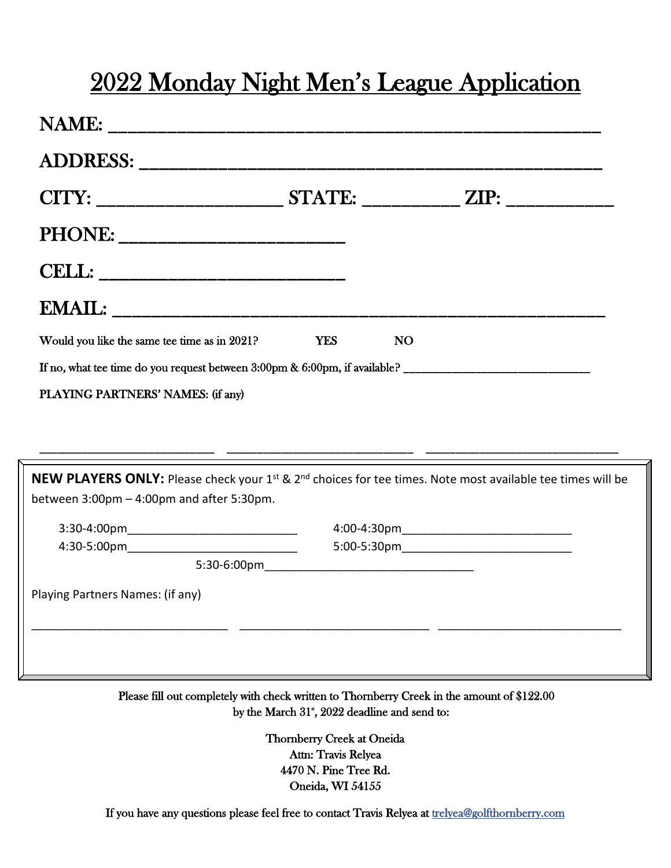# 2022 Monday Night Men's League Application

| Would you like the same tee time as in 2021?                                                   | <b>YES</b> | <b>NO</b> |  |
|------------------------------------------------------------------------------------------------|------------|-----------|--|
| If no, what tee time do you request between $3:00 \text{pm} \& 6:00 \text{pm}$ , if available? |            |           |  |
| PLAYING PARTNERS' NAMES: (if any)                                                              |            |           |  |
|                                                                                                |            |           |  |
|                                                                                                |            |           |  |

| between $3:00$ pm $-4:00$ pm and after $5:30$ pm. | NEW PLAYERS ONLY: Please check your 1 <sup>st</sup> & 2 <sup>nd</sup> choices for tee times. Note most available tee times will be |
|---------------------------------------------------|------------------------------------------------------------------------------------------------------------------------------------|
| $3:30-4:00 \text{pm}$                             | 4:00-4:30pm                                                                                                                        |
| 4:30-5:00pm                                       | 5:00-5:30pm                                                                                                                        |
| 5:30-6:00pm                                       |                                                                                                                                    |
| Playing Partners Names: (if any)                  |                                                                                                                                    |

Please fill out completely with check written to Thornberry Creek in the amount of \$122.00  $\frac{1}{2}$  by the March 31<sup>\*</sup>, 2022 deadline and send to:

> Thornberry Creek at Oneida Attn: Travis Relyea 4470 N. Pine Tree Rd. Oneida, WI 54155

If you have any questions please feel free to contact Travis Relyea at trelyea@golfthornberry.com